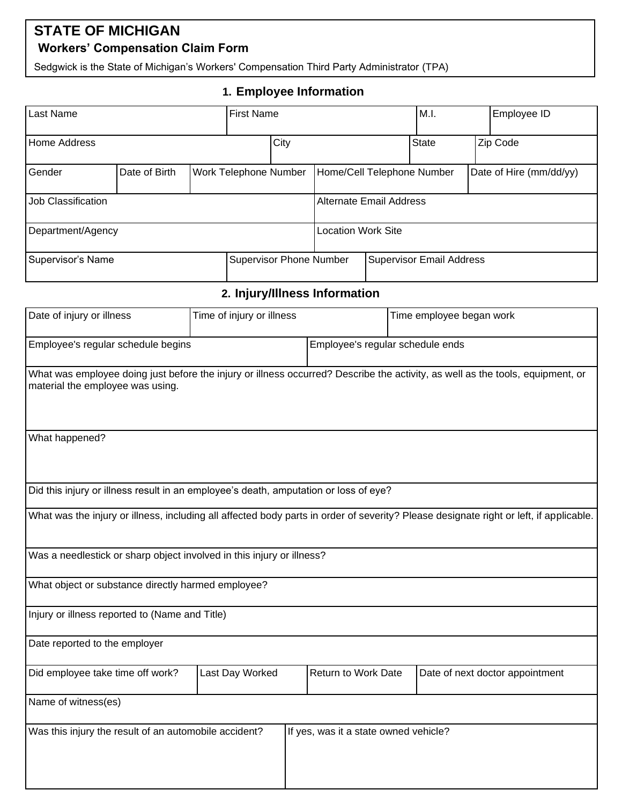## **STATE OF MICHIGAN Workers' Compensation Claim Form**

Sedgwick is the State of Michigan's Workers' Compensation Third Party Administrator (TPA)

## **1. Employee Information**

| Last Name           |                                               |  | <b>First Name</b>              |                                 |                                | M.I. |              | Employee ID |                         |
|---------------------|-----------------------------------------------|--|--------------------------------|---------------------------------|--------------------------------|------|--------------|-------------|-------------------------|
| <b>Home Address</b> |                                               |  |                                | City                            |                                |      | <b>State</b> |             | Zip Code                |
| Gender              | Date of Birth<br><b>Work Telephone Number</b> |  |                                |                                 | Home/Cell Telephone Number     |      |              |             | Date of Hire (mm/dd/yy) |
| Job Classification  |                                               |  |                                |                                 | <b>Alternate Email Address</b> |      |              |             |                         |
| Department/Agency   |                                               |  |                                |                                 | <b>Location Work Site</b>      |      |              |             |                         |
| Supervisor's Name   |                                               |  | <b>Supervisor Phone Number</b> | <b>Supervisor Email Address</b> |                                |      |              |             |                         |

**2. Injury/Illness Information**

| Date of injury or illness                                                            | Time of injury or illness |                                       | Time employee began work                                                                                                               |  |  |
|--------------------------------------------------------------------------------------|---------------------------|---------------------------------------|----------------------------------------------------------------------------------------------------------------------------------------|--|--|
| Employee's regular schedule begins                                                   |                           | Employee's regular schedule ends      |                                                                                                                                        |  |  |
| material the employee was using.                                                     |                           |                                       | What was employee doing just before the injury or illness occurred? Describe the activity, as well as the tools, equipment, or         |  |  |
| What happened?                                                                       |                           |                                       |                                                                                                                                        |  |  |
| Did this injury or illness result in an employee's death, amputation or loss of eye? |                           |                                       |                                                                                                                                        |  |  |
|                                                                                      |                           |                                       | What was the injury or illness, including all affected body parts in order of severity? Please designate right or left, if applicable. |  |  |
| Was a needlestick or sharp object involved in this injury or illness?                |                           |                                       |                                                                                                                                        |  |  |
| What object or substance directly harmed employee?                                   |                           |                                       |                                                                                                                                        |  |  |
| Injury or illness reported to (Name and Title)                                       |                           |                                       |                                                                                                                                        |  |  |
| Date reported to the employer                                                        |                           |                                       |                                                                                                                                        |  |  |
| Did employee take time off work?                                                     | Last Day Worked           | Return to Work Date                   | Date of next doctor appointment                                                                                                        |  |  |
| Name of witness(es)                                                                  |                           |                                       |                                                                                                                                        |  |  |
| Was this injury the result of an automobile accident?                                |                           | If yes, was it a state owned vehicle? |                                                                                                                                        |  |  |